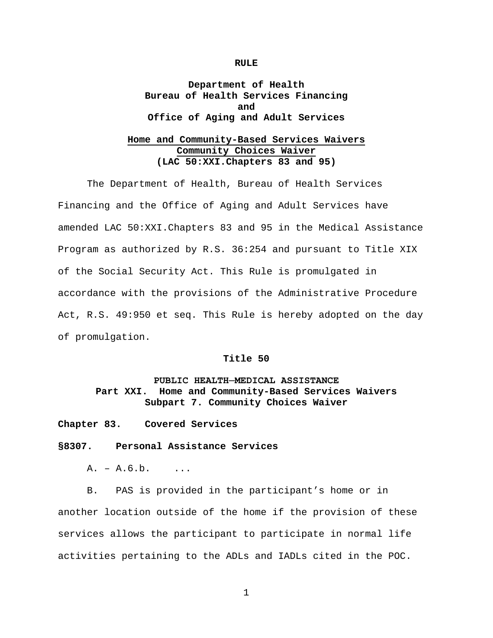#### **RULE**

# **Department of Health Bureau of Health Services Financing and Office of Aging and Adult Services**

# **Home and Community-Based Services Waivers Community Choices Waiver (LAC 50:XXI.Chapters 83 and 95)**

The Department of Health, Bureau of Health Services Financing and the Office of Aging and Adult Services have amended LAC 50:XXI.Chapters 83 and 95 in the Medical Assistance Program as authorized by R.S. 36:254 and pursuant to Title XIX of the Social Security Act. This Rule is promulgated in accordance with the provisions of the Administrative Procedure Act, R.S. 49:950 et seq. This Rule is hereby adopted on the day of promulgation.

## **Title 50**

# **PUBLIC HEALTH─MEDICAL ASSISTANCE Part XXI. Home and Community-Based Services Waivers Subpart 7. Community Choices Waiver**

**Chapter 83. Covered Services**

#### **§8307. Personal Assistance Services**

 $A. - A.6.b.$  ...

B. PAS is provided in the participant's home or in another location outside of the home if the provision of these services allows the participant to participate in normal life activities pertaining to the ADLs and IADLs cited in the POC.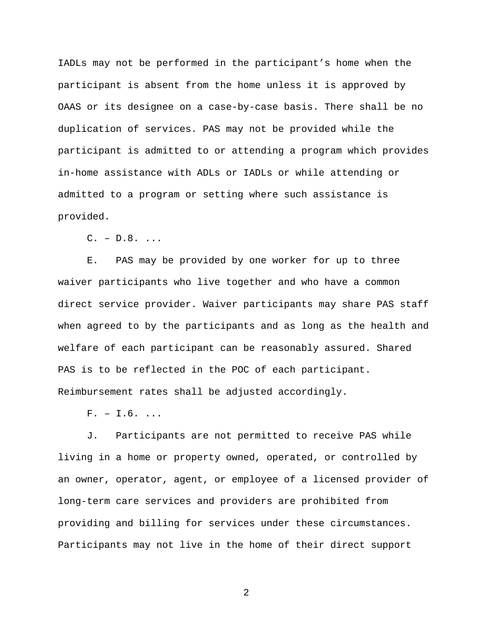IADLs may not be performed in the participant's home when the participant is absent from the home unless it is approved by OAAS or its designee on a case-by-case basis. There shall be no duplication of services. PAS may not be provided while the participant is admitted to or attending a program which provides in-home assistance with ADLs or IADLs or while attending or admitted to a program or setting where such assistance is provided.

 $C. - D.8. ...$ 

E. PAS may be provided by one worker for up to three waiver participants who live together and who have a common direct service provider. Waiver participants may share PAS staff when agreed to by the participants and as long as the health and welfare of each participant can be reasonably assured. Shared PAS is to be reflected in the POC of each participant. Reimbursement rates shall be adjusted accordingly.

 $F. - I.6.$ ...

J. Participants are not permitted to receive PAS while living in a home or property owned, operated, or controlled by an owner, operator, agent, or employee of a licensed provider of long-term care services and providers are prohibited from providing and billing for services under these circumstances. Participants may not live in the home of their direct support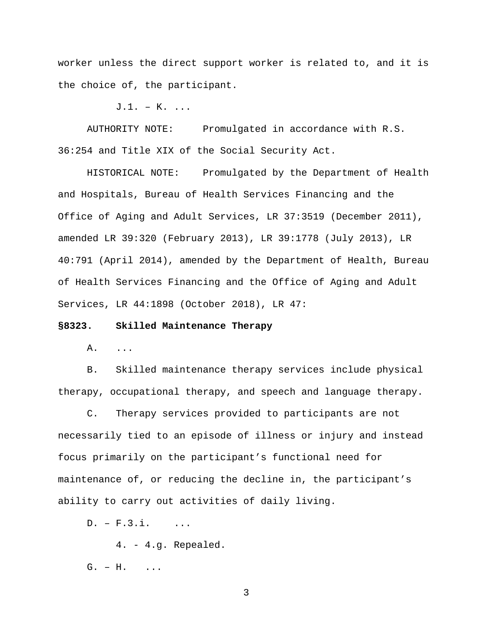worker unless the direct support worker is related to, and it is the choice of, the participant.

 $J.1. - K.$ ...

AUTHORITY NOTE: Promulgated in accordance with R.S. 36:254 and Title XIX of the Social Security Act.

HISTORICAL NOTE: Promulgated by the Department of Health and Hospitals, Bureau of Health Services Financing and the Office of Aging and Adult Services, LR 37:3519 (December 2011), amended LR 39:320 (February 2013), LR 39:1778 (July 2013), LR 40:791 (April 2014), amended by the Department of Health, Bureau of Health Services Financing and the Office of Aging and Adult Services, LR 44:1898 (October 2018), LR 47:

#### **§8323. Skilled Maintenance Therapy**

A. ...

B. Skilled maintenance therapy services include physical therapy, occupational therapy, and speech and language therapy.

C. Therapy services provided to participants are not necessarily tied to an episode of illness or injury and instead focus primarily on the participant's functional need for maintenance of, or reducing the decline in, the participant's ability to carry out activities of daily living.

 $D. - F.3.i.$  ...

4. - 4.g. Repealed.

G. – H. ...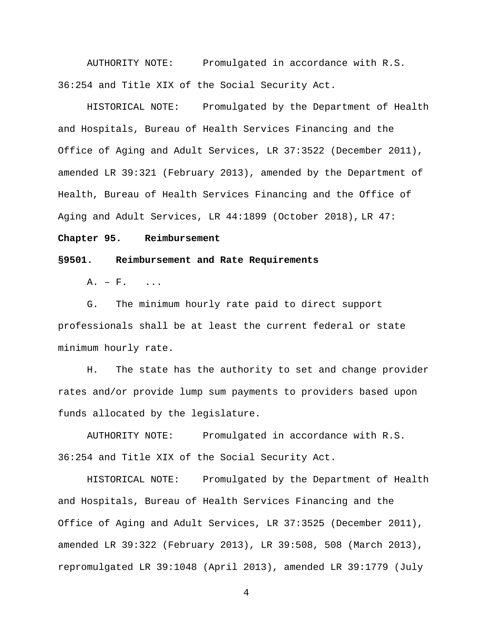AUTHORITY NOTE: Promulgated in accordance with R.S. 36:254 and Title XIX of the Social Security Act.

HISTORICAL NOTE: Promulgated by the Department of Health and Hospitals, Bureau of Health Services Financing and the Office of Aging and Adult Services, LR 37:3522 (December 2011), amended LR 39:321 (February 2013), amended by the Department of Health, Bureau of Health Services Financing and the Office of Aging and Adult Services, LR 44:1899 (October 2018), LR 47:

#### **Chapter 95. Reimbursement**

#### **§9501. Reimbursement and Rate Requirements**

 $A. - F.$ 

G. The minimum hourly rate paid to direct support professionals shall be at least the current federal or state minimum hourly rate.

H. The state has the authority to set and change provider rates and/or provide lump sum payments to providers based upon funds allocated by the legislature.

AUTHORITY NOTE: Promulgated in accordance with R.S. 36:254 and Title XIX of the Social Security Act.

HISTORICAL NOTE: Promulgated by the Department of Health and Hospitals, Bureau of Health Services Financing and the Office of Aging and Adult Services, LR 37:3525 (December 2011), amended LR 39:322 (February 2013), LR 39:508, 508 (March 2013), repromulgated LR 39:1048 (April 2013), amended LR 39:1779 (July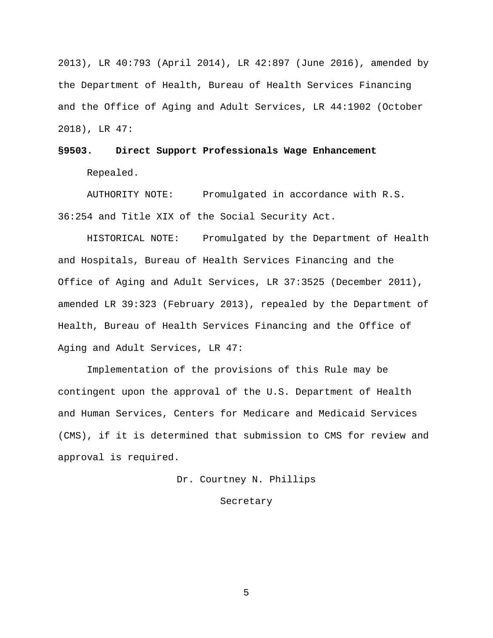2013), LR 40:793 (April 2014), LR 42:897 (June 2016), amended by the Department of Health, Bureau of Health Services Financing and the Office of Aging and Adult Services, LR 44:1902 (October 2018), LR 47:

# **§9503. Direct Support Professionals Wage Enhancement** Repealed.

AUTHORITY NOTE: Promulgated in accordance with R.S. 36:254 and Title XIX of the Social Security Act.

HISTORICAL NOTE: Promulgated by the Department of Health and Hospitals, Bureau of Health Services Financing and the Office of Aging and Adult Services, LR 37:3525 (December 2011), amended LR 39:323 (February 2013), repealed by the Department of Health, Bureau of Health Services Financing and the Office of Aging and Adult Services, LR 47:

Implementation of the provisions of this Rule may be contingent upon the approval of the U.S. Department of Health and Human Services, Centers for Medicare and Medicaid Services (CMS), if it is determined that submission to CMS for review and approval is required.

Dr. Courtney N. Phillips

#### Secretary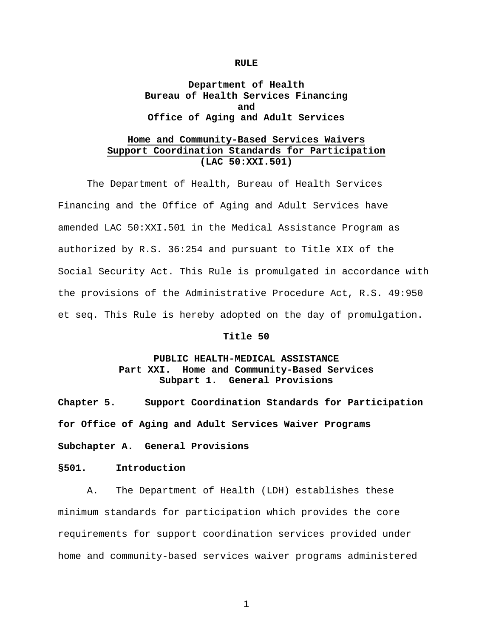#### **RULE**

# **Department of Health Bureau of Health Services Financing and Office of Aging and Adult Services**

# **Home and Community-Based Services Waivers Support Coordination Standards for Participation (LAC 50:XXI.501)**

The Department of Health, Bureau of Health Services Financing and the Office of Aging and Adult Services have amended LAC 50:XXI.501 in the Medical Assistance Program as authorized by R.S. 36:254 and pursuant to Title XIX of the Social Security Act. This Rule is promulgated in accordance with the provisions of the Administrative Procedure Act, R.S. 49:950 et seq. This Rule is hereby adopted on the day of promulgation.

## **Title 50**

# **PUBLIC HEALTH-MEDICAL ASSISTANCE Part XXI. Home and Community-Based Services Subpart 1. General Provisions**

**Chapter 5. Support Coordination Standards for Participation for Office of Aging and Adult Services Waiver Programs**

**Subchapter A. General Provisions**

**§501. Introduction**

A. The Department of Health (LDH) establishes these minimum standards for participation which provides the core requirements for support coordination services provided under home and community-based services waiver programs administered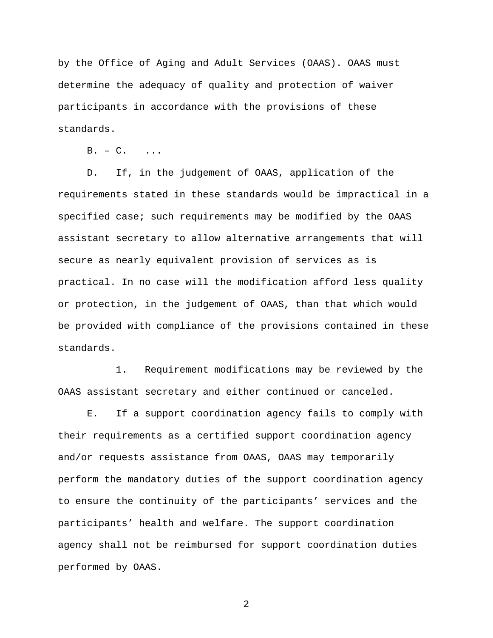by the Office of Aging and Adult Services (OAAS). OAAS must determine the adequacy of quality and protection of waiver participants in accordance with the provisions of these standards.

 $B. - C.$  ...

D. If, in the judgement of OAAS, application of the requirements stated in these standards would be impractical in a specified case; such requirements may be modified by the OAAS assistant secretary to allow alternative arrangements that will secure as nearly equivalent provision of services as is practical. In no case will the modification afford less quality or protection, in the judgement of OAAS, than that which would be provided with compliance of the provisions contained in these standards.

1. Requirement modifications may be reviewed by the OAAS assistant secretary and either continued or canceled.

E. If a support coordination agency fails to comply with their requirements as a certified support coordination agency and/or requests assistance from OAAS, OAAS may temporarily perform the mandatory duties of the support coordination agency to ensure the continuity of the participants' services and the participants' health and welfare. The support coordination agency shall not be reimbursed for support coordination duties performed by OAAS.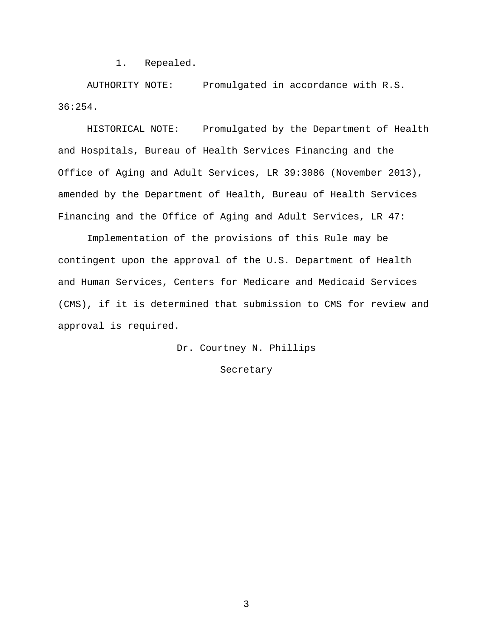1. Repealed.

AUTHORITY NOTE: Promulgated in accordance with R.S. 36:254.

HISTORICAL NOTE: Promulgated by the Department of Health and Hospitals, Bureau of Health Services Financing and the Office of Aging and Adult Services, LR 39:3086 (November 2013), amended by the Department of Health, Bureau of Health Services Financing and the Office of Aging and Adult Services, LR 47:

Implementation of the provisions of this Rule may be contingent upon the approval of the U.S. Department of Health and Human Services, Centers for Medicare and Medicaid Services (CMS), if it is determined that submission to CMS for review and approval is required.

Dr. Courtney N. Phillips

#### Secretary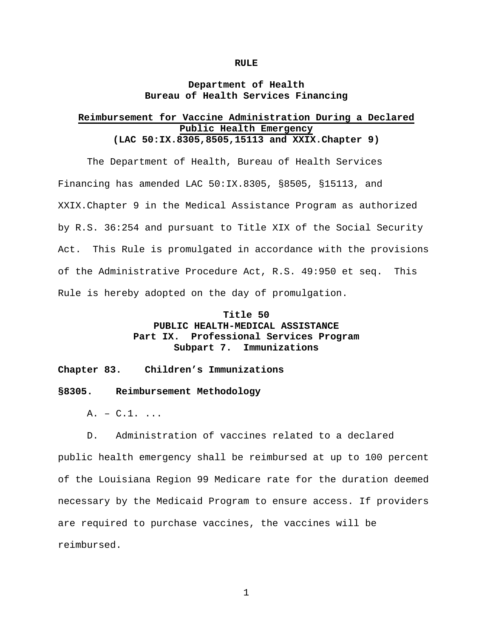#### **RULE**

## **Department of Health Bureau of Health Services Financing**

## **Reimbursement for Vaccine Administration During a Declared Public Health Emergency (LAC 50:IX.8305,8505,15113 and XXIX.Chapter 9)**

The Department of Health, Bureau of Health Services Financing has amended LAC 50:IX.8305, §8505, §15113, and XXIX.Chapter 9 in the Medical Assistance Program as authorized by R.S. 36:254 and pursuant to Title XIX of the Social Security Act. This Rule is promulgated in accordance with the provisions of the Administrative Procedure Act, R.S. 49:950 et seq. This Rule is hereby adopted on the day of promulgation.

# **Title 50**

# **PUBLIC HEALTH-MEDICAL ASSISTANCE** Professional Services Program **Subpart 7. Immunizations**

#### **Chapter 83. Children's Immunizations**

#### **§8305. Reimbursement Methodology**

 $A. - C.1.$ ...

D. Administration of vaccines related to a declared public health emergency shall be reimbursed at up to 100 percent of the Louisiana Region 99 Medicare rate for the duration deemed necessary by the Medicaid Program to ensure access. If providers are required to purchase vaccines, the vaccines will be reimbursed.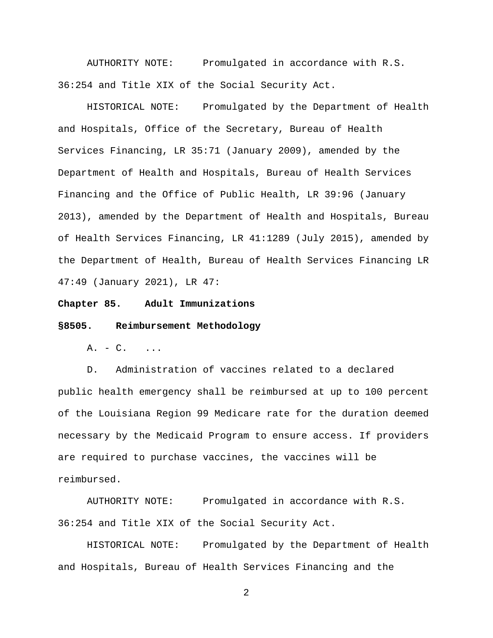AUTHORITY NOTE: Promulgated in accordance with R.S. 36:254 and Title XIX of the Social Security Act.

HISTORICAL NOTE: Promulgated by the Department of Health and Hospitals, Office of the Secretary, Bureau of Health Services Financing, LR 35:71 (January 2009), amended by the Department of Health and Hospitals, Bureau of Health Services Financing and the Office of Public Health, LR 39:96 (January 2013), amended by the Department of Health and Hospitals, Bureau of Health Services Financing, LR 41:1289 (July 2015), amended by the Department of Health, Bureau of Health Services Financing LR 47:49 (January 2021), LR 47:

**Chapter 85. Adult Immunizations**

#### **§8505. Reimbursement Methodology**

 $A. - C.$  ...

D. Administration of vaccines related to a declared public health emergency shall be reimbursed at up to 100 percent of the Louisiana Region 99 Medicare rate for the duration deemed necessary by the Medicaid Program to ensure access. If providers are required to purchase vaccines, the vaccines will be reimbursed.

AUTHORITY NOTE: Promulgated in accordance with R.S. 36:254 and Title XIX of the Social Security Act.

HISTORICAL NOTE: Promulgated by the Department of Health and Hospitals, Bureau of Health Services Financing and the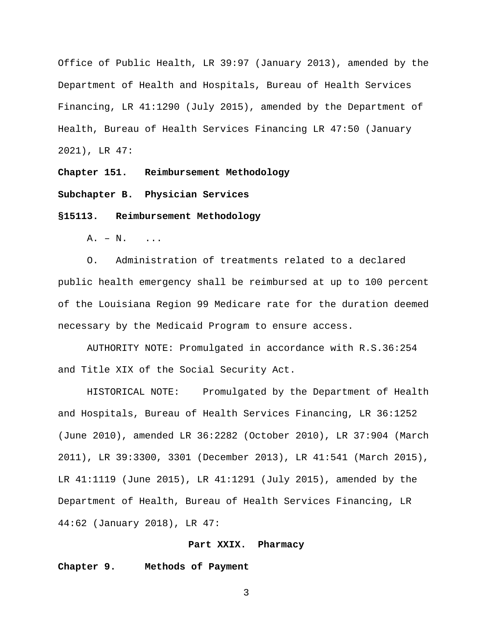Office of Public Health, LR 39:97 (January 2013), amended by the Department of Health and Hospitals, Bureau of Health Services Financing, LR 41:1290 (July 2015), amended by the Department of Health, Bureau of Health Services Financing LR 47:50 (January 2021), LR 47:

**Chapter 151. Reimbursement Methodology**

**Subchapter B. Physician Services**

**§15113. Reimbursement Methodology**

A. – N. ...

O. Administration of treatments related to a declared public health emergency shall be reimbursed at up to 100 percent of the Louisiana Region 99 Medicare rate for the duration deemed necessary by the Medicaid Program to ensure access.

AUTHORITY NOTE: Promulgated in accordance with R.S.36:254 and Title XIX of the Social Security Act.

HISTORICAL NOTE: Promulgated by the Department of Health and Hospitals, Bureau of Health Services Financing, LR 36:1252 (June 2010), amended LR 36:2282 (October 2010), LR 37:904 (March 2011), LR 39:3300, 3301 (December 2013), LR 41:541 (March 2015), LR 41:1119 (June 2015), LR 41:1291 (July 2015), amended by the Department of Health, Bureau of Health Services Financing, LR 44:62 (January 2018), LR 47:

#### **Part XXIX. Pharmacy**

## **Chapter 9. Methods of Payment**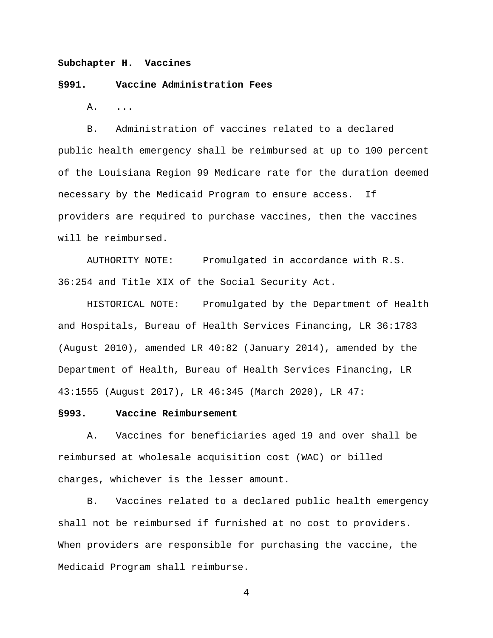### **Subchapter H. Vaccines**

#### **§991. Vaccine Administration Fees**

A. ...

B. Administration of vaccines related to a declared public health emergency shall be reimbursed at up to 100 percent of the Louisiana Region 99 Medicare rate for the duration deemed necessary by the Medicaid Program to ensure access. If providers are required to purchase vaccines, then the vaccines will be reimbursed.

AUTHORITY NOTE: Promulgated in accordance with R.S. 36:254 and Title XIX of the Social Security Act.

HISTORICAL NOTE: Promulgated by the Department of Health and Hospitals, Bureau of Health Services Financing, LR 36:1783 (August 2010), amended LR 40:82 (January 2014), amended by the Department of Health, Bureau of Health Services Financing, LR 43:1555 (August 2017), LR 46:345 (March 2020), LR 47:

## **§993. Vaccine Reimbursement**

A. Vaccines for beneficiaries aged 19 and over shall be reimbursed at wholesale acquisition cost (WAC) or billed charges, whichever is the lesser amount.

B. Vaccines related to a declared public health emergency shall not be reimbursed if furnished at no cost to providers. When providers are responsible for purchasing the vaccine, the Medicaid Program shall reimburse.